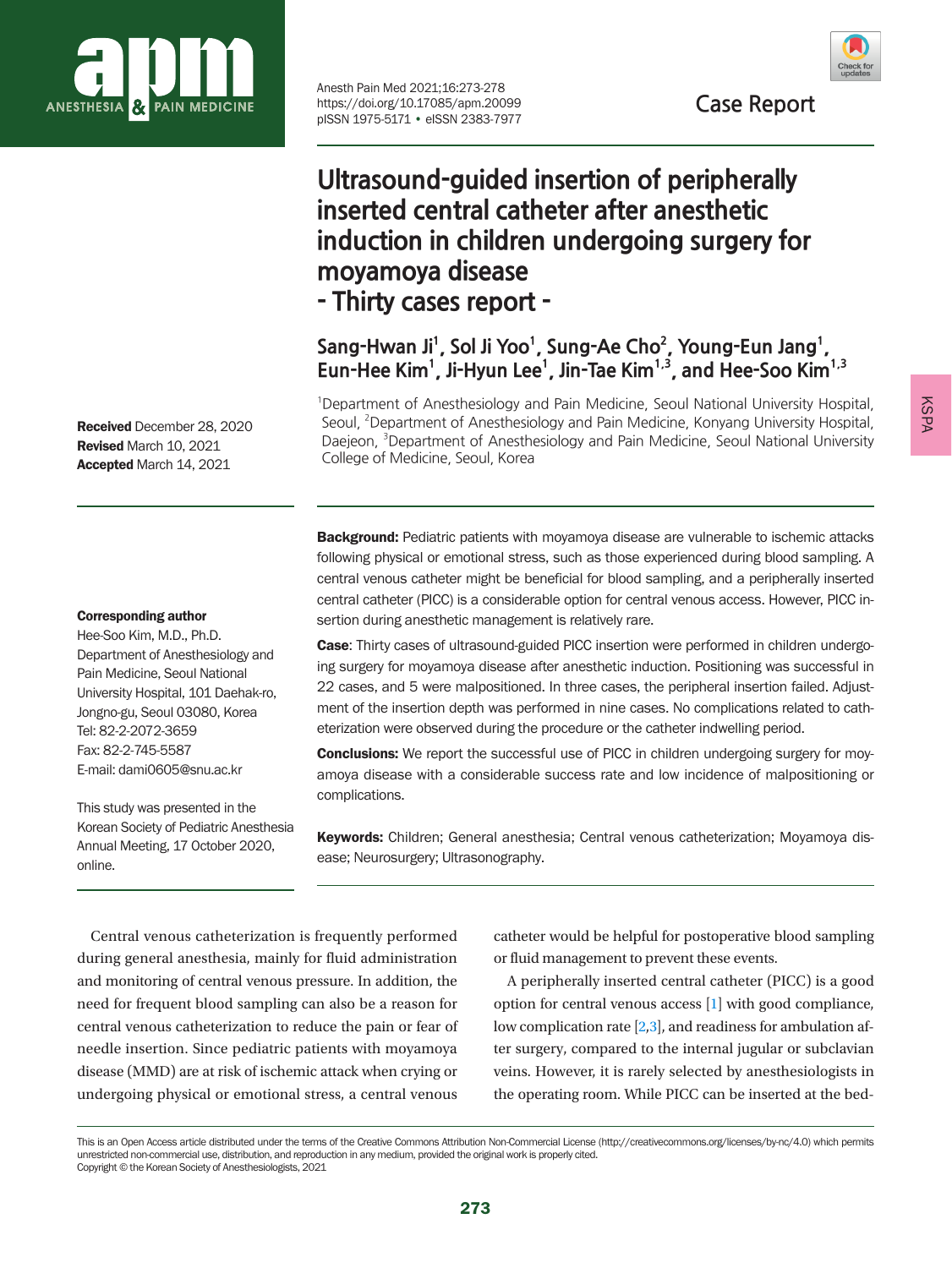

Anesth Pain Med 2021;16:273-278 https://doi.org/10.17085/apm.20099 pISSN 1975-5171 • eISSN 2383-7977



# **Ultrasound-guided insertion of peripherally inserted central catheter after anesthetic induction in children undergoing surgery for moyamoya disease - Thirty cases report -**

Sang-Hwan Ji<sup>1</sup>, Sol Ji Yoo<sup>1</sup>, Sung-Ae Cho<sup>2</sup>, Young-Eun Jang<sup>1</sup>, Eun-Hee Kim<sup>1</sup>, Ji-Hyun Lee<sup>1</sup>, Jin-Tae Kim<sup>1,3</sup>, and Hee-Soo Kim<sup>1,3</sup>

<sup>1</sup>Department of Anesthesiology and Pain Medicine, Seoul National University Hospital, Seoul, <sup>2</sup> Department of Anesthesiology and Pain Medicine, Konyang University Hospital, Daejeon, <sup>3</sup>Department of Anesthesiology and Pain Medicine, Seoul National University College of Medicine, Seoul, Korea

**Background:** Pediatric patients with moyamoya disease are vulnerable to ischemic attacks following physical or emotional stress, such as those experienced during blood sampling. A central venous catheter might be beneficial for blood sampling, and a peripherally inserted central catheter (PICC) is a considerable option for central venous access. However, PICC insertion during anesthetic management is relatively rare.

Case: Thirty cases of ultrasound-guided PICC insertion were performed in children undergoing surgery for moyamoya disease after anesthetic induction. Positioning was successful in 22 cases, and 5 were malpositioned. In three cases, the peripheral insertion failed. Adjustment of the insertion depth was performed in nine cases. No complications related to catheterization were observed during the procedure or the catheter indwelling period.

**Conclusions:** We report the successful use of PICC in children undergoing surgery for moyamoya disease with a considerable success rate and low incidence of malpositioning or complications.

Keywords: Children; General anesthesia; Central venous catheterization; Moyamoya disease; Neurosurgery; Ultrasonography.

Central venous catheterization is frequently performed during general anesthesia, mainly for fluid administration and monitoring of central venous pressure. In addition, the need for frequent blood sampling can also be a reason for central venous catheterization to reduce the pain or fear of needle insertion. Since pediatric patients with moyamoya disease (MMD) are at risk of ischemic attack when crying or undergoing physical or emotional stress, a central venous

catheter would be helpful for postoperative blood sampling or fluid management to prevent these events.

A peripherally inserted central catheter (PICC) is a good option for central venous access [\[1](#page-5-0)] with good compliance, low complication rate [\[2](#page-5-1)[,3](#page-5-2)], and readiness for ambulation after surgery, compared to the internal jugular or subclavian veins. However, it is rarely selected by anesthesiologists in the operating room. While PICC can be inserted at the bed-

Received December 28, 2020 Revised March 10, 2021 Accepted March 14, 2021

#### Corresponding author

Hee-Soo Kim, M.D., Ph.D. Department of Anesthesiology and Pain Medicine, Seoul National University Hospital, 101 Daehak-ro, Jongno-gu, Seoul 03080, Korea Tel: 82-2-2072-3659 Fax: 82-2-745-5587 E-mail: dami0605@snu.ac.kr

This study was presented in the Korean Society of Pediatric Anesthesia Annual Meeting, 17 October 2020, online.

KSPA

This is an Open Access article distributed under the terms of the Creative Commons Attribution Non-Commercial License (http://creativecommons.org/licenses/by-nc/4.0) which permits unrestricted non-commercial use, distribution, and reproduction in any medium, provided the original work is properly cited. Copyright © the Korean Society of Anesthesiologists, 2021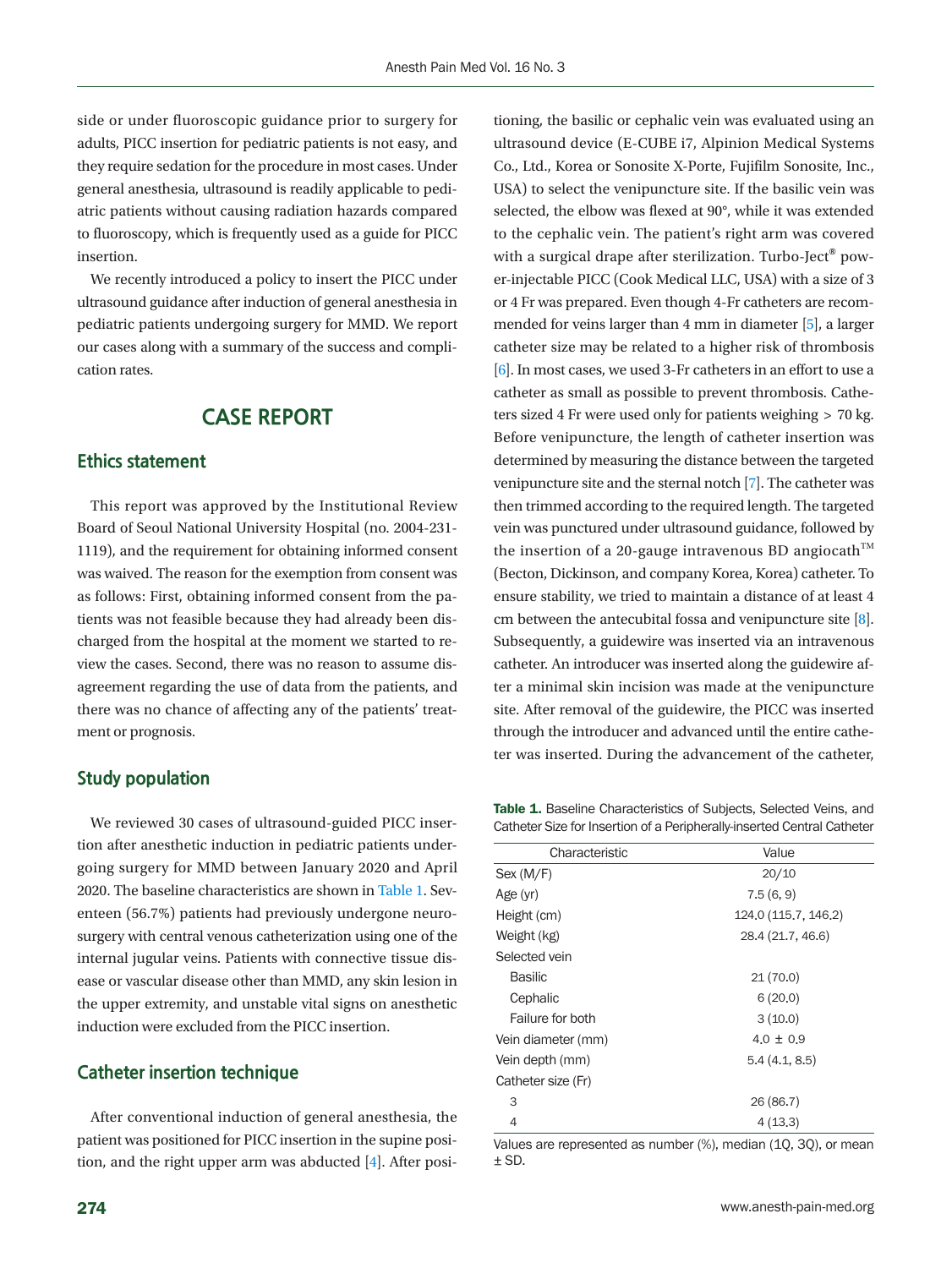side or under fluoroscopic guidance prior to surgery for adults, PICC insertion for pediatric patients is not easy, and they require sedation for the procedure in most cases. Under general anesthesia, ultrasound is readily applicable to pediatric patients without causing radiation hazards compared to fluoroscopy, which is frequently used as a guide for PICC insertion.

We recently introduced a policy to insert the PICC under ultrasound guidance after induction of general anesthesia in pediatric patients undergoing surgery for MMD. We report our cases along with a summary of the success and complication rates.

# **CASE REPORT**

#### **Ethics statement**

This report was approved by the Institutional Review Board of Seoul National University Hospital (no. 2004-231- 1119), and the requirement for obtaining informed consent was waived. The reason for the exemption from consent was as follows: First, obtaining informed consent from the patients was not feasible because they had already been discharged from the hospital at the moment we started to review the cases. Second, there was no reason to assume disagreement regarding the use of data from the patients, and there was no chance of affecting any of the patients' treatment or prognosis.

#### **Study population**

We reviewed 30 cases of ultrasound-guided PICC insertion after anesthetic induction in pediatric patients undergoing surgery for MMD between January 2020 and April 2020. The baseline characteristics are shown in [Table 1.](#page-1-0) Seventeen (56.7%) patients had previously undergone neurosurgery with central venous catheterization using one of the internal jugular veins. Patients with connective tissue disease or vascular disease other than MMD, any skin lesion in the upper extremity, and unstable vital signs on anesthetic induction were excluded from the PICC insertion.

#### **Catheter insertion technique**

After conventional induction of general anesthesia, the patient was positioned for PICC insertion in the supine position, and the right upper arm was abducted [\[4\]](#page-5-3). After posi-

tioning, the basilic or cephalic vein was evaluated using an ultrasound device (E-CUBE i7, Alpinion Medical Systems Co., Ltd., Korea or Sonosite X-Porte, Fujifilm Sonosite, Inc., USA) to select the venipuncture site. If the basilic vein was selected, the elbow was flexed at 90°, while it was extended to the cephalic vein. The patient's right arm was covered with a surgical drape after sterilization. Turbo-Ject<sup>®</sup> power-injectable PICC (Cook Medical LLC, USA) with a size of 3 or 4 Fr was prepared. Even though 4-Fr catheters are recommended for veins larger than 4 mm in diameter [\[5](#page-5-4)], a larger catheter size may be related to a higher risk of thrombosis [\[6](#page-5-5)]. In most cases, we used 3-Fr catheters in an effort to use a catheter as small as possible to prevent thrombosis. Catheters sized 4 Fr were used only for patients weighing > 70 kg. Before venipuncture, the length of catheter insertion was determined by measuring the distance between the targeted venipuncture site and the sternal notch [\[7](#page-5-2)]. The catheter was then trimmed according to the required length. The targeted vein was punctured under ultrasound guidance, followed by the insertion of a 20-gauge intravenous BD angiocath<sup>TM</sup> (Becton, Dickinson, and company Korea, Korea) catheter. To ensure stability, we tried to maintain a distance of at least 4 cm between the antecubital fossa and venipuncture site [\[8\]](#page-5-6). Subsequently, a guidewire was inserted via an intravenous catheter. An introducer was inserted along the guidewire after a minimal skin incision was made at the venipuncture site. After removal of the guidewire, the PICC was inserted through the introducer and advanced until the entire catheter was inserted. During the advancement of the catheter,

<span id="page-1-0"></span>Table 1. Baseline Characteristics of Subjects, Selected Veins, and Catheter Size for Insertion of a Peripherally-inserted Central Catheter

| Characteristic     | Value                |
|--------------------|----------------------|
| Sex (M/F)          | 20/10                |
| Age (yr)           | 7.5(6, 9)            |
| Height (cm)        | 124.0 (115.7, 146.2) |
| Weight (kg)        | 28.4 (21.7, 46.6)    |
| Selected vein      |                      |
| <b>Basilic</b>     | 21(70.0)             |
| Cephalic           | 6(20.0)              |
| Failure for both   | 3(10.0)              |
| Vein diameter (mm) | $4.0 \pm 0.9$        |
| Vein depth (mm)    | 5.4(4.1, 8.5)        |
| Catheter size (Fr) |                      |
| 3                  | 26 (86.7)            |
| 4                  | 4(13,3)              |

Values are represented as number (%), median (1Q, 3Q), or mean  $\pm$  SD.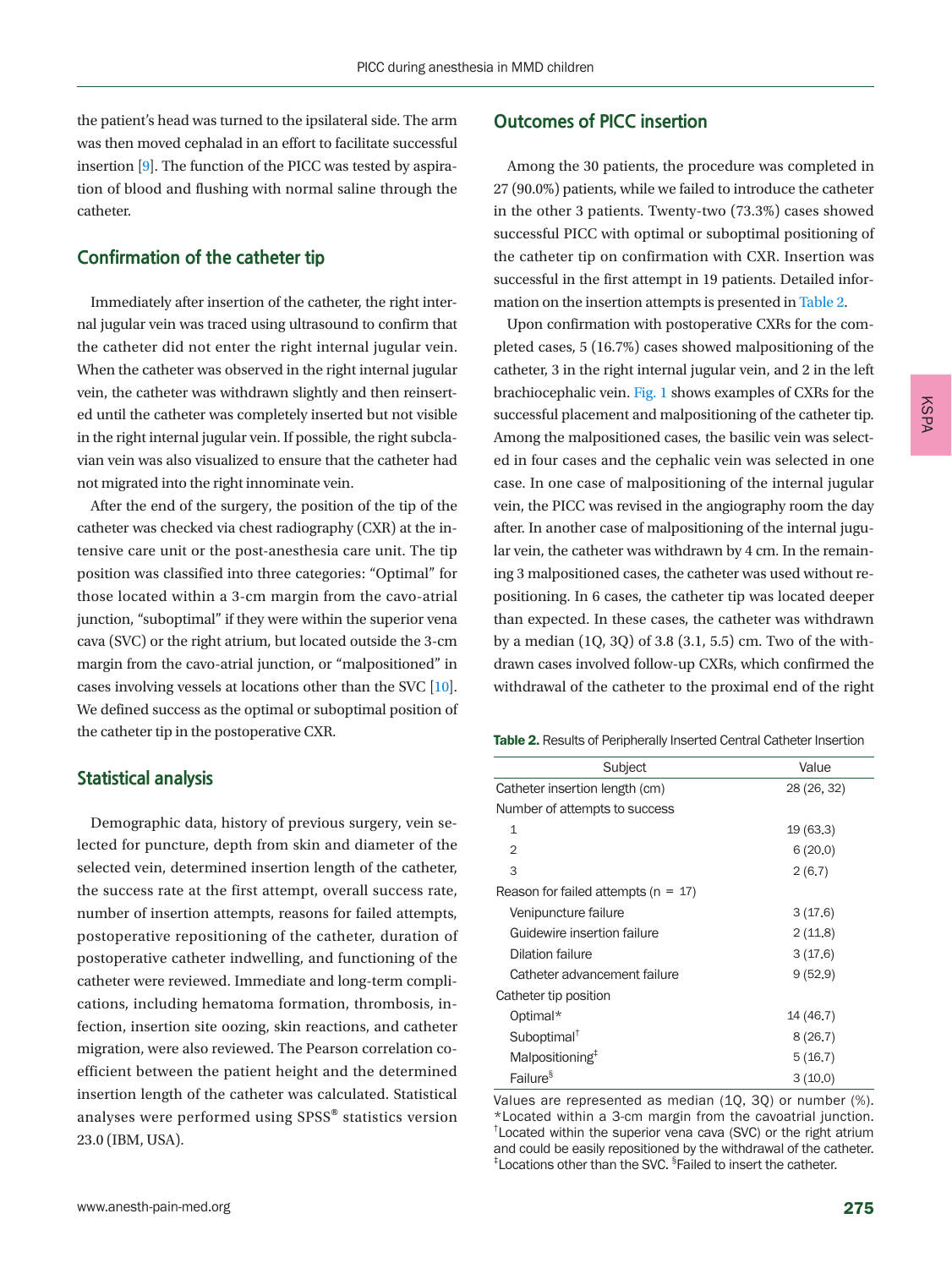the patient's head was turned to the ipsilateral side. The arm was then moved cephalad in an effort to facilitate successful insertion [\[9\]](#page-5-7). The function of the PICC was tested by aspiration of blood and flushing with normal saline through the catheter.

#### **Confirmation of the catheter tip**

Immediately after insertion of the catheter, the right internal jugular vein was traced using ultrasound to confirm that the catheter did not enter the right internal jugular vein. When the catheter was observed in the right internal jugular vein, the catheter was withdrawn slightly and then reinserted until the catheter was completely inserted but not visible in the right internal jugular vein. If possible, the right subclavian vein was also visualized to ensure that the catheter had not migrated into the right innominate vein.

After the end of the surgery, the position of the tip of the catheter was checked via chest radiography (CXR) at the intensive care unit or the post-anesthesia care unit. The tip position was classified into three categories: "Optimal" for those located within a 3-cm margin from the cavo-atrial junction, "suboptimal" if they were within the superior vena cava (SVC) or the right atrium, but located outside the 3-cm margin from the cavo-atrial junction, or "malpositioned" in cases involving vessels at locations other than the SVC [\[10](#page-5-8)]. We defined success as the optimal or suboptimal position of the catheter tip in the postoperative CXR.

#### **Statistical analysis**

Demographic data, history of previous surgery, vein selected for puncture, depth from skin and diameter of the selected vein, determined insertion length of the catheter, the success rate at the first attempt, overall success rate, number of insertion attempts, reasons for failed attempts, postoperative repositioning of the catheter, duration of postoperative catheter indwelling, and functioning of the catheter were reviewed. Immediate and long-term complications, including hematoma formation, thrombosis, infection, insertion site oozing, skin reactions, and catheter migration, were also reviewed. The Pearson correlation coefficient between the patient height and the determined insertion length of the catheter was calculated. Statistical analyses were performed using SPSS® statistics version 23.0 (IBM, USA).

## **Outcomes of PICC insertion**

Among the 30 patients, the procedure was completed in 27 (90.0%) patients, while we failed to introduce the catheter in the other 3 patients. Twenty-two (73.3%) cases showed successful PICC with optimal or suboptimal positioning of the catheter tip on confirmation with CXR. Insertion was successful in the first attempt in 19 patients. Detailed information on the insertion attempts is presented in [Table 2](#page-2-0).

Upon confirmation with postoperative CXRs for the completed cases, 5 (16.7%) cases showed malpositioning of the catheter, 3 in the right internal jugular vein, and 2 in the left brachiocephalic vein. [Fig. 1](#page-3-0) shows examples of CXRs for the successful placement and malpositioning of the catheter tip. Among the malpositioned cases, the basilic vein was selected in four cases and the cephalic vein was selected in one case. In one case of malpositioning of the internal jugular vein, the PICC was revised in the angiography room the day after. In another case of malpositioning of the internal jugular vein, the catheter was withdrawn by 4 cm. In the remaining 3 malpositioned cases, the catheter was used without repositioning. In 6 cases, the catheter tip was located deeper than expected. In these cases, the catheter was withdrawn by a median (1Q, 3Q) of 3.8 (3.1, 5.5) cm. Two of the withdrawn cases involved follow-up CXRs, which confirmed the withdrawal of the catheter to the proximal end of the right

<span id="page-2-0"></span>

| Subject                                 | Value       |
|-----------------------------------------|-------------|
| Catheter insertion length (cm)          | 28 (26, 32) |
| Number of attempts to success           |             |
| $\mathbf{1}$                            | 19(63.3)    |
| $\overline{2}$                          | 6(20.0)     |
| 3                                       | 2(6.7)      |
| Reason for failed attempts ( $n = 17$ ) |             |
| Venipuncture failure                    | 3(17.6)     |
| Guidewire insertion failure             | 2(11.8)     |
| Dilation failure                        | 3(17.6)     |
| Catheter advancement failure            | 9(52.9)     |
| Catheter tip position                   |             |
| Optimal*                                | 14 (46.7)   |
| Suboptimal <sup>†</sup>                 | 8(26.7)     |
| Malpositioning <sup>#</sup>             | 5(16.7)     |
| Failure <sup>§</sup>                    | 3(10.0)     |

Values are represented as median (1Q, 3Q) or number (%). \*Located within a 3-cm margin from the cavoatrial junction. † Located within the superior vena cava (SVC) or the right atrium and could be easily repositioned by the withdrawal of the catheter. <sup>‡</sup>Locations other than the SVC. <sup>§</sup>Failed to insert the catheter.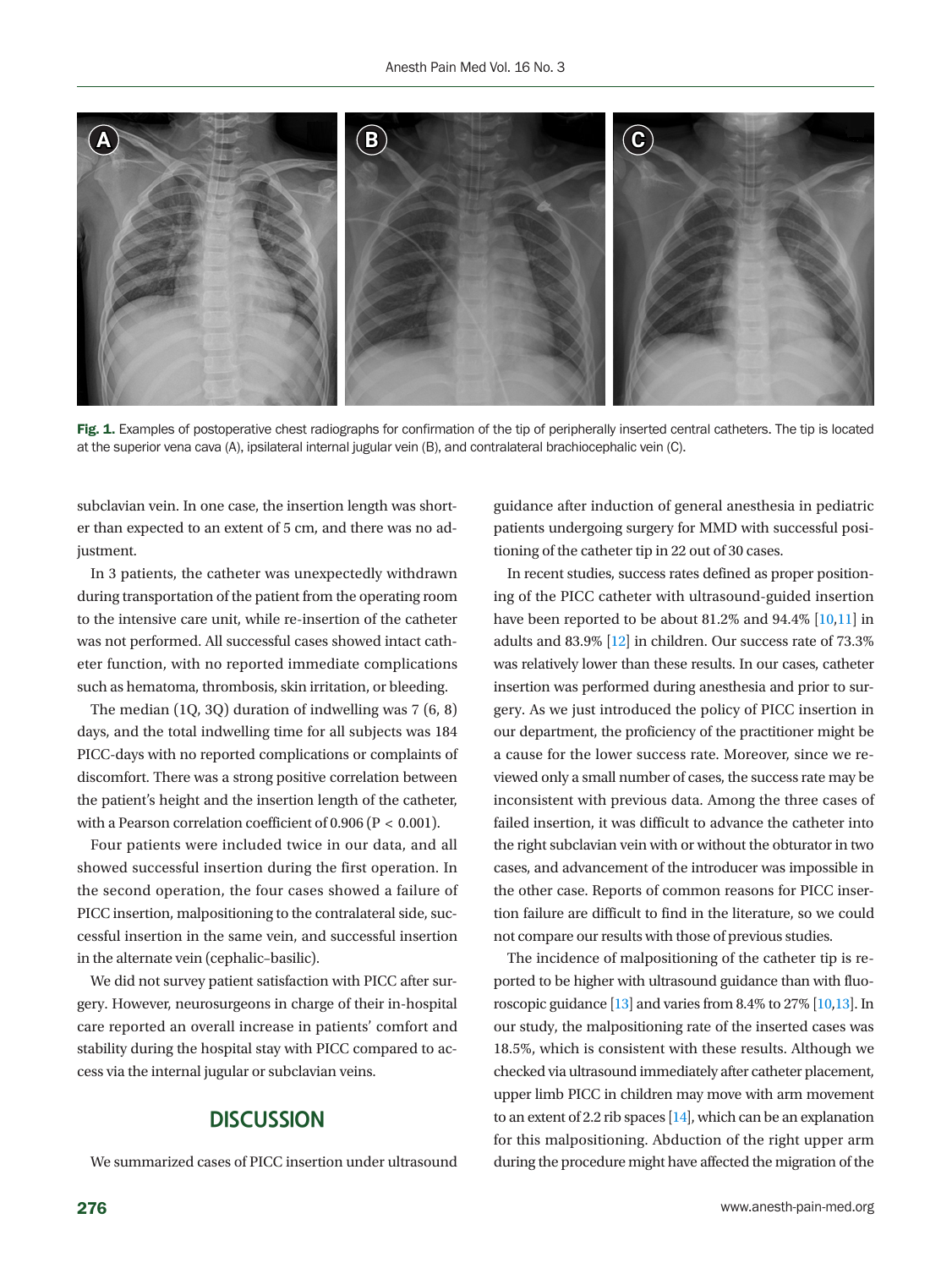<span id="page-3-0"></span>

Fig. 1. Examples of postoperative chest radiographs for confirmation of the tip of peripherally inserted central catheters. The tip is located at the superior vena cava (A), ipsilateral internal jugular vein (B), and contralateral brachiocephalic vein (C).

subclavian vein. In one case, the insertion length was shorter than expected to an extent of 5 cm, and there was no adjustment.

In 3 patients, the catheter was unexpectedly withdrawn during transportation of the patient from the operating room to the intensive care unit, while re-insertion of the catheter was not performed. All successful cases showed intact catheter function, with no reported immediate complications such as hematoma, thrombosis, skin irritation, or bleeding.

The median (1Q, 3Q) duration of indwelling was 7 (6, 8) days, and the total indwelling time for all subjects was 184 PICC-days with no reported complications or complaints of discomfort. There was a strong positive correlation between the patient's height and the insertion length of the catheter, with a Pearson correlation coefficient of 0.906 (P < 0.001).

Four patients were included twice in our data, and all showed successful insertion during the first operation. In the second operation, the four cases showed a failure of PICC insertion, malpositioning to the contralateral side, successful insertion in the same vein, and successful insertion in the alternate vein (cephalic–basilic).

We did not survey patient satisfaction with PICC after surgery. However, neurosurgeons in charge of their in-hospital care reported an overall increase in patients' comfort and stability during the hospital stay with PICC compared to access via the internal jugular or subclavian veins.

## **DISCUSSION**

We summarized cases of PICC insertion under ultrasound

guidance after induction of general anesthesia in pediatric patients undergoing surgery for MMD with successful positioning of the catheter tip in 22 out of 30 cases.

In recent studies, success rates defined as proper positioning of the PICC catheter with ultrasound-guided insertion have been reported to be about 81.2% and 94.4% [10[,11\]](#page-5-9) in adults and 83.9% [\[12\]](#page-5-10) in children. Our success rate of 73.3% was relatively lower than these results. In our cases, catheter insertion was performed during anesthesia and prior to surgery. As we just introduced the policy of PICC insertion in our department, the proficiency of the practitioner might be a cause for the lower success rate. Moreover, since we reviewed only a small number of cases, the success rate may be inconsistent with previous data. Among the three cases of failed insertion, it was difficult to advance the catheter into the right subclavian vein with or without the obturator in two cases, and advancement of the introducer was impossible in the other case. Reports of common reasons for PICC insertion failure are difficult to find in the literature, so we could not compare our results with those of previous studies.

The incidence of malpositioning of the catheter tip is reported to be higher with ultrasound guidance than with fluoroscopic guidance  $[13]$  and varies from 8.4% to 27%  $[10,13]$  $[10,13]$ . In our study, the malpositioning rate of the inserted cases was 18.5%, which is consistent with these results. Although we checked via ultrasound immediately after catheter placement, upper limb PICC in children may move with arm movement to an extent of 2.2 rib spaces [\[14\]](#page-5-12), which can be an explanation for this malpositioning. Abduction of the right upper arm during the procedure might have affected the migration of the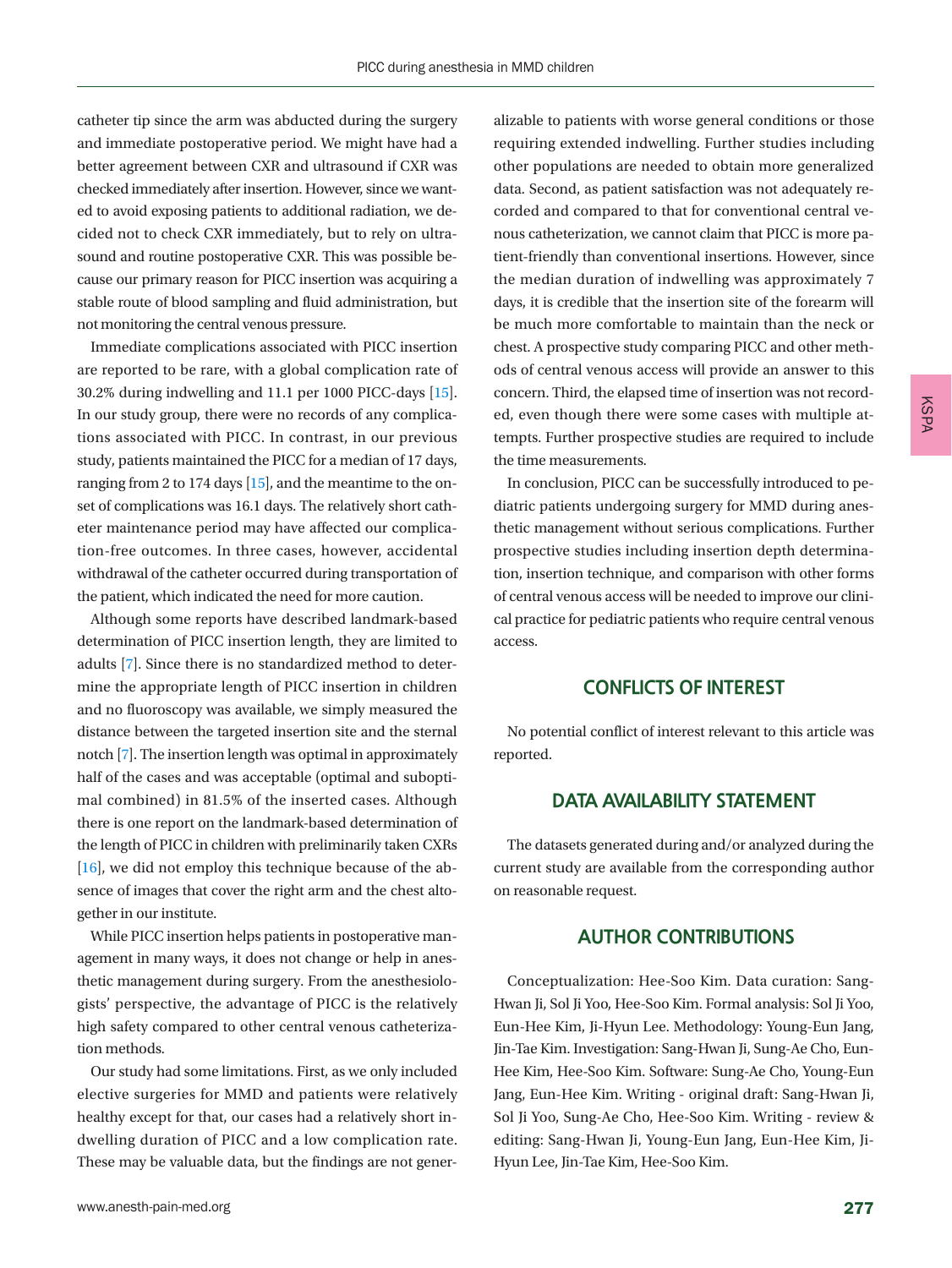catheter tip since the arm was abducted during the surgery and immediate postoperative period. We might have had a better agreement between CXR and ultrasound if CXR was checked immediately after insertion. However, since we wanted to avoid exposing patients to additional radiation, we decided not to check CXR immediately, but to rely on ultrasound and routine postoperative CXR. This was possible because our primary reason for PICC insertion was acquiring a stable route of blood sampling and fluid administration, but not monitoring the central venous pressure.

Immediate complications associated with PICC insertion are reported to be rare, with a global complication rate of 30.2% during indwelling and 11.1 per 1000 PICC-days [\[15](#page-5-10)]. In our study group, there were no records of any complications associated with PICC. In contrast, in our previous study, patients maintained the PICC for a median of 17 days, ranging from 2 to 174 days [\[15\]](#page-5-10), and the meantime to the onset of complications was 16.1 days. The relatively short catheter maintenance period may have affected our complication-free outcomes. In three cases, however, accidental withdrawal of the catheter occurred during transportation of the patient, which indicated the need for more caution.

Although some reports have described landmark-based determination of PICC insertion length, they are limited to adults [7]. Since there is no standardized method to determine the appropriate length of PICC insertion in children and no fluoroscopy was available, we simply measured the distance between the targeted insertion site and the sternal notch [7]. The insertion length was optimal in approximately half of the cases and was acceptable (optimal and suboptimal combined) in 81.5% of the inserted cases. Although there is one report on the landmark-based determination of the length of PICC in children with preliminarily taken CXRs  $[16]$ , we did not employ this technique because of the absence of images that cover the right arm and the chest altogether in our institute.

While PICC insertion helps patients in postoperative management in many ways, it does not change or help in anesthetic management during surgery. From the anesthesiologists' perspective, the advantage of PICC is the relatively high safety compared to other central venous catheterization methods.

Our study had some limitations. First, as we only included elective surgeries for MMD and patients were relatively healthy except for that, our cases had a relatively short indwelling duration of PICC and a low complication rate. These may be valuable data, but the findings are not generalizable to patients with worse general conditions or those requiring extended indwelling. Further studies including other populations are needed to obtain more generalized data. Second, as patient satisfaction was not adequately recorded and compared to that for conventional central venous catheterization, we cannot claim that PICC is more patient-friendly than conventional insertions. However, since the median duration of indwelling was approximately 7 days, it is credible that the insertion site of the forearm will be much more comfortable to maintain than the neck or chest. A prospective study comparing PICC and other methods of central venous access will provide an answer to this concern. Third, the elapsed time of insertion was not recorded, even though there were some cases with multiple attempts. Further prospective studies are required to include the time measurements.

In conclusion, PICC can be successfully introduced to pediatric patients undergoing surgery for MMD during anesthetic management without serious complications. Further prospective studies including insertion depth determination, insertion technique, and comparison with other forms of central venous access will be needed to improve our clinical practice for pediatric patients who require central venous access.

#### **CONFLICTS OF INTEREST**

No potential conflict of interest relevant to this article was reported.

## **DATA AVAILABILITY STATEMENT**

The datasets generated during and/or analyzed during the current study are available from the corresponding author on reasonable request.

## **AUTHOR CONTRIBUTIONS**

Conceptualization: Hee-Soo Kim. Data curation: Sang-Hwan Ji, Sol Ji Yoo, Hee-Soo Kim. Formal analysis: Sol Ji Yoo, Eun-Hee Kim, Ji-Hyun Lee. Methodology: Young-Eun Jang, Jin-Tae Kim. Investigation: Sang-Hwan Ji, Sung-Ae Cho, Eun-Hee Kim, Hee-Soo Kim. Software: Sung-Ae Cho, Young-Eun Jang, Eun-Hee Kim. Writing - original draft: Sang-Hwan Ji, Sol Ji Yoo, Sung-Ae Cho, Hee-Soo Kim. Writing - review & editing: Sang-Hwan Ji, Young-Eun Jang, Eun-Hee Kim, Ji-Hyun Lee, Jin-Tae Kim, Hee-Soo Kim.